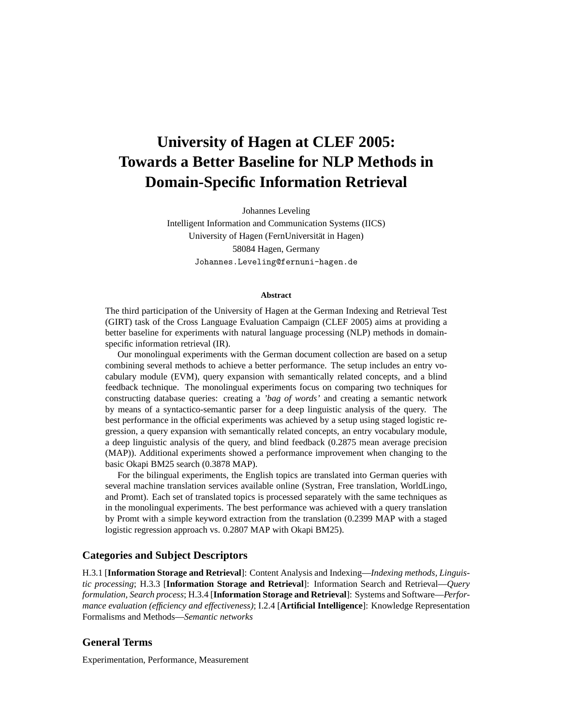# **University of Hagen at CLEF 2005: Towards a Better Baseline for NLP Methods in Domain-Specific Information Retrieval**

Johannes Leveling

Intelligent Information and Communication Systems (IICS) University of Hagen (FernUniversitat in Hagen) ¨ 58084 Hagen, Germany Johannes.Leveling@fernuni-hagen.de

#### **Abstract**

The third participation of the University of Hagen at the German Indexing and Retrieval Test (GIRT) task of the Cross Language Evaluation Campaign (CLEF 2005) aims at providing a better baseline for experiments with natural language processing (NLP) methods in domainspecific information retrieval (IR).

Our monolingual experiments with the German document collection are based on a setup combining several methods to achieve a better performance. The setup includes an entry vocabulary module (EVM), query expansion with semantically related concepts, and a blind feedback technique. The monolingual experiments focus on comparing two techniques for constructing database queries: creating a *'bag of words'* and creating a semantic network by means of a syntactico-semantic parser for a deep linguistic analysis of the query. The best performance in the official experiments was achieved by a setup using staged logistic regression, a query expansion with semantically related concepts, an entry vocabulary module, a deep linguistic analysis of the query, and blind feedback (0.2875 mean average precision (MAP)). Additional experiments showed a performance improvement when changing to the basic Okapi BM25 search (0.3878 MAP).

For the bilingual experiments, the English topics are translated into German queries with several machine translation services available online (Systran, Free translation, WorldLingo, and Promt). Each set of translated topics is processed separately with the same techniques as in the monolingual experiments. The best performance was achieved with a query translation by Promt with a simple keyword extraction from the translation (0.2399 MAP with a staged logistic regression approach vs. 0.2807 MAP with Okapi BM25).

#### **Categories and Subject Descriptors**

H.3.1 [**Information Storage and Retrieval**]: Content Analysis and Indexing—*Indexing methods, Linguistic processing*; H.3.3 [**Information Storage and Retrieval**]: Information Search and Retrieval—*Query formulation, Search process*; H.3.4 [**Information Storage and Retrieval**]: Systems and Software—*Performance evaluation (efficiency and effectiveness)*; I.2.4 [**Artificial Intelligence**]: Knowledge Representation Formalisms and Methods—*Semantic networks*

### **General Terms**

Experimentation, Performance, Measurement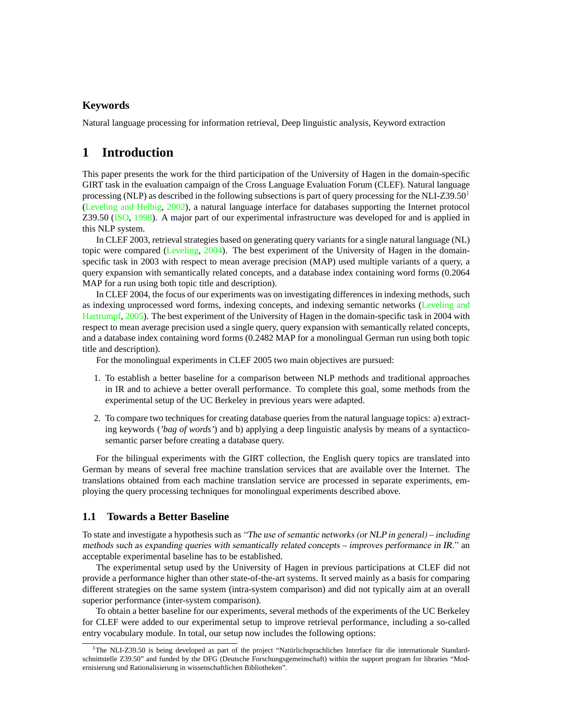### **Keywords**

Natural language processing for information retrieval, Deep linguistic analysis, Keyword extraction

# **1 Introduction**

This paper presents the work for the third participation of the University of Hagen in the domain-specific GIRT task in the evaluation campaign of the Cross Language Evaluation Forum (CLEF). Natural language processing (NLP) as described in the following subsections is part of query processing for the NLI-Z39.50 $^1$  $^1$ [\(Leveling and Helbig,](#page-7-0) [2002\)](#page-7-0), a natural language interface for databases supporting the Internet protocol Z39.50 [\(ISO,](#page-7-1) [1998\)](#page-7-1). A major part of our experimental infrastructure was developed for and is applied in this NLP system.

In CLEF 2003, retrieval strategies based on generating query variants for a single natural language (NL) topic were compared [\(Leveling,](#page-7-2) [2004\)](#page-7-2). The best experiment of the University of Hagen in the domainspecific task in 2003 with respect to mean average precision (MAP) used multiple variants of a query, a query expansion with semantically related concepts, and a database index containing word forms (0.2064 MAP for a run using both topic title and description).

In CLEF 2004, the focus of our experiments was on investigating differences in indexing methods, such as indexing unprocessed word forms, indexing concepts, and indexing semantic networks [\(Leveling and](#page-7-3) [Hartrumpf,](#page-7-3) [2005\)](#page-7-3). The best experiment of the University of Hagen in the domain-specific task in 2004 with respect to mean average precision used a single query, query expansion with semantically related concepts, and a database index containing word forms (0.2482 MAP for a monolingual German run using both topic title and description).

For the monolingual experiments in CLEF 2005 two main objectives are pursued:

- 1. To establish a better baseline for a comparison between NLP methods and traditional approaches in IR and to achieve a better overall performance. To complete this goal, some methods from the experimental setup of the UC Berkeley in previous years were adapted.
- 2. To compare two techniques for creating database queries from the natural language topics: a) extracting keywords (*'bag of words'*) and b) applying a deep linguistic analysis by means of a syntacticosemantic parser before creating a database query.

For the bilingual experiments with the GIRT collection, the English query topics are translated into German by means of several free machine translation services that are available over the Internet. The translations obtained from each machine translation service are processed in separate experiments, employing the query processing techniques for monolingual experiments described above.

### **1.1 Towards a Better Baseline**

To state and investigate a hypothesis such as "The use of semantic networks (or NLP in general) – including methods such as expanding queries with semantically related concepts – improves performance in IR." an acceptable experimental baseline has to be established.

The experimental setup used by the University of Hagen in previous participations at CLEF did not provide a performance higher than other state-of-the-art systems. It served mainly as a basis for comparing different strategies on the same system (intra-system comparison) and did not typically aim at an overall superior performance (inter-system comparison).

To obtain a better baseline for our experiments, several methods of the experiments of the UC Berkeley for CLEF were added to our experimental setup to improve retrieval performance, including a so-called entry vocabulary module. In total, our setup now includes the following options:

<span id="page-1-0"></span> $1$ The NLI-Z39.50 is being developed as part of the project "Natürlichsprachliches Interface für die internationale Standardschnittstelle Z39.50" and funded by the DFG (Deutsche Forschungsgemeinschaft) within the support program for libraries "Modernisierung und Rationalisierung in wissenschaftlichen Bibliotheken".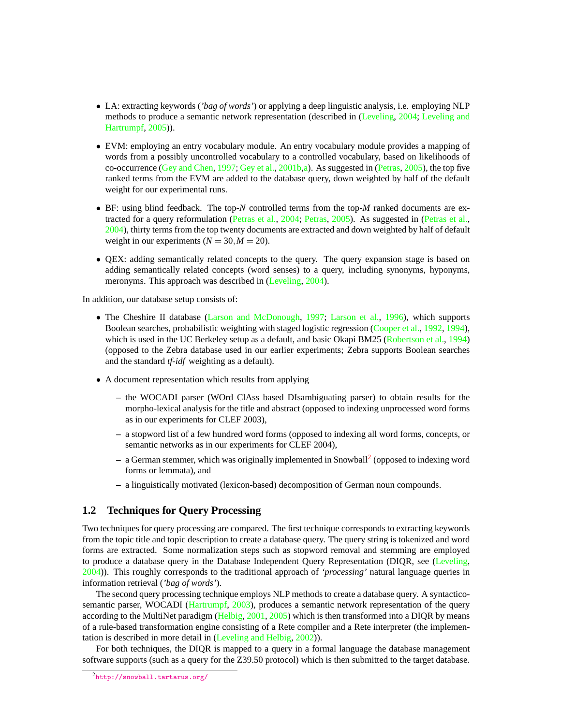- LA: extracting keywords (*'bag of words'*) or applying a deep linguistic analysis, i.e. employing NLP methods to produce a semantic network representation (described in [\(Leveling,](#page-7-2) [2004;](#page-7-2) [Leveling and](#page-7-3) [Hartrumpf,](#page-7-3) [2005\)](#page-7-3)).
- EVM: employing an entry vocabulary module. An entry vocabulary module provides a mapping of words from a possibly uncontrolled vocabulary to a controlled vocabulary, based on likelihoods of co-occurrence [\(Gey and Chen,](#page-6-0) [1997;](#page-6-0) [Gey et al.,](#page-6-1) [2001b,](#page-6-1)[a\)](#page-6-2). As suggested in [\(Petras,](#page-7-4) [2005\)](#page-7-4), the top five ranked terms from the EVM are added to the database query, down weighted by half of the default weight for our experimental runs.
- BF: using blind feedback. The top-*N* controlled terms from the top-*M* ranked documents are extracted for a query reformulation [\(Petras et al.,](#page-7-5) [2004;](#page-7-5) [Petras,](#page-7-4) [2005\)](#page-7-4). As suggested in [\(Petras et al.,](#page-7-5) [2004\)](#page-7-5), thirty terms from the top twenty documents are extracted and down weighted by half of default weight in our experiments  $(N = 30, M = 20)$ .
- QEX: adding semantically related concepts to the query. The query expansion stage is based on adding semantically related concepts (word senses) to a query, including synonyms, hyponyms, meronyms. This approach was described in [\(Leveling,](#page-7-2) [2004\)](#page-7-2).

In addition, our database setup consists of:

- The Cheshire II database [\(Larson and McDonough,](#page-7-6) [1997;](#page-7-6) [Larson et al.,](#page-7-7) [1996\)](#page-7-7), which supports Boolean searches, probabilistic weighting with staged logistic regression [\(Cooper et al.,](#page-6-3) [1992,](#page-6-3) [1994\)](#page-6-4), which is used in the UC Berkeley setup as a default, and basic Okapi BM25 [\(Robertson et al.,](#page-7-8) [1994\)](#page-7-8) (opposed to the Zebra database used in our earlier experiments; Zebra supports Boolean searches and the standard *tf-idf* weighting as a default).
- A document representation which results from applying
	- **–** the WOCADI parser (WOrd ClAss based DIsambiguating parser) to obtain results for the morpho-lexical analysis for the title and abstract (opposed to indexing unprocessed word forms as in our experiments for CLEF 2003),
	- **–** a stopword list of a few hundred word forms (opposed to indexing all word forms, concepts, or semantic networks as in our experiments for CLEF 2004),
	- **–** a German stemmer, which was originally implemented in Snowball[2](#page-2-0) (opposed to indexing word forms or lemmata), and
	- **–** a linguistically motivated (lexicon-based) decomposition of German noun compounds.

### **1.2 Techniques for Query Processing**

Two techniques for query processing are compared. The first technique corresponds to extracting keywords from the topic title and topic description to create a database query. The query string is tokenized and word forms are extracted. Some normalization steps such as stopword removal and stemming are employed to produce a database query in the Database Independent Query Representation (DIQR, see [\(Leveling,](#page-7-2) [2004\)](#page-7-2)). This roughly corresponds to the traditional approach of *'processing'* natural language queries in information retrieval (*'bag of words'*).

The second query processing technique employs NLP methods to create a database query. A syntactico-semantic parser, WOCADI [\(Hartrumpf,](#page-6-5) [2003\)](#page-6-5), produces a semantic network representation of the query according to the MultiNet paradigm [\(Helbig,](#page-6-6) [2001,](#page-6-6) [2005\)](#page-7-9) which is then transformed into a DIOR by means of a rule-based transformation engine consisting of a Rete compiler and a Rete interpreter (the implementation is described in more detail in [\(Leveling and Helbig,](#page-7-0) [2002\)](#page-7-0)).

<span id="page-2-0"></span>For both techniques, the DIQR is mapped to a query in a formal language the database management software supports (such as a query for the Z39.50 protocol) which is then submitted to the target database.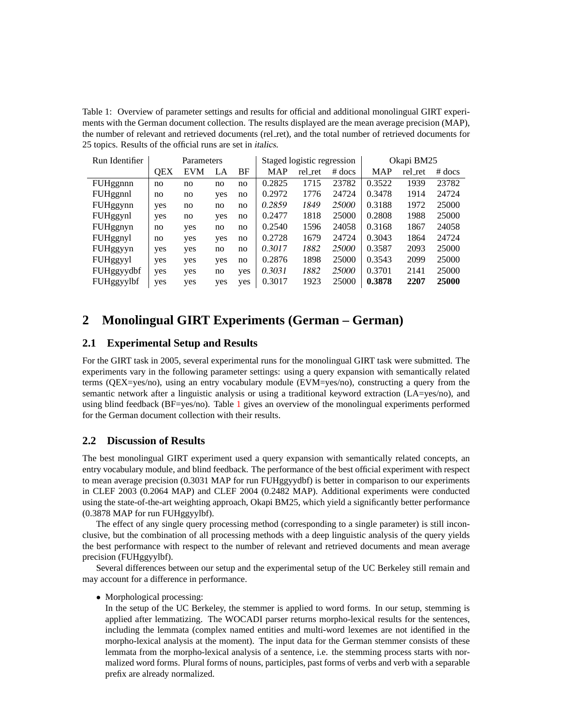<span id="page-3-0"></span>Table 1: Overview of parameter settings and results for official and additional monolingual GIRT experiments with the German document collection. The results displayed are the mean average precision (MAP), the number of relevant and retrieved documents (rel\_ret), and the total number of retrieved documents for 25 topics. Results of the official runs are set in italics.

| Run Identifier | Parameters |     |     |     |            | Staged logistic regression |          | Okapi BM25 |         |          |
|----------------|------------|-----|-----|-----|------------|----------------------------|----------|------------|---------|----------|
|                | <b>OEX</b> | EVM | LA  | BF  | <b>MAP</b> | rel_ret                    | $#$ docs | <b>MAP</b> | rel ret | $#$ docs |
| FUHggnnn       | no         | no  | no  | no  | 0.2825     | 1715                       | 23782    | 0.3522     | 1939    | 23782    |
| FUHggnnl       | no         | no  | yes | no  | 0.2972     | 1776                       | 24724    | 0.3478     | 1914    | 24724    |
| FUHggynn       | yes        | no  | no  | no  | 0.2859     | 1849                       | 25000    | 0.3188     | 1972    | 25000    |
| FUHggynl       | yes        | no  | yes | no  | 0.2477     | 1818                       | 25000    | 0.2808     | 1988    | 25000    |
| FUHggnyn       | no         | yes | no  | no  | 0.2540     | 1596                       | 24058    | 0.3168     | 1867    | 24058    |
| FUHggnyl       | no         | yes | yes | no  | 0.2728     | 1679                       | 24724    | 0.3043     | 1864    | 24724    |
| FUHggyyn       | yes        | yes | no  | no  | 0.3017     | 1882                       | 25000    | 0.3587     | 2093    | 25000    |
| FUHggyyl       | yes        | yes | yes | no  | 0.2876     | 1898                       | 25000    | 0.3543     | 2099    | 25000    |
| FUHggyydbf     | yes        | yes | no  | yes | 0.3031     | 1882                       | 25000    | 0.3701     | 2141    | 25000    |
| FUHggyylbf     | yes        | yes | yes | yes | 0.3017     | 1923                       | 25000    | 0.3878     | 2207    | 25000    |

# <span id="page-3-1"></span>**2 Monolingual GIRT Experiments (German – German)**

### **2.1 Experimental Setup and Results**

For the GIRT task in 2005, several experimental runs for the monolingual GIRT task were submitted. The experiments vary in the following parameter settings: using a query expansion with semantically related terms (QEX=yes/no), using an entry vocabulary module (EVM=yes/no), constructing a query from the semantic network after a linguistic analysis or using a traditional keyword extraction (LA=yes/no), and using blind feedback (BF=yes/no). Table [1](#page-3-0) gives an overview of the monolingual experiments performed for the German document collection with their results.

## **2.2 Discussion of Results**

The best monolingual GIRT experiment used a query expansion with semantically related concepts, an entry vocabulary module, and blind feedback. The performance of the best official experiment with respect to mean average precision (0.3031 MAP for run FUHggyydbf) is better in comparison to our experiments in CLEF 2003 (0.2064 MAP) and CLEF 2004 (0.2482 MAP). Additional experiments were conducted using the state-of-the-art weighting approach, Okapi BM25, which yield a significantly better performance (0.3878 MAP for run FUHggyylbf).

The effect of any single query processing method (corresponding to a single parameter) is still inconclusive, but the combination of all processing methods with a deep linguistic analysis of the query yields the best performance with respect to the number of relevant and retrieved documents and mean average precision (FUHggyylbf).

Several differences between our setup and the experimental setup of the UC Berkeley still remain and may account for a difference in performance.

• Morphological processing:

In the setup of the UC Berkeley, the stemmer is applied to word forms. In our setup, stemming is applied after lemmatizing. The WOCADI parser returns morpho-lexical results for the sentences, including the lemmata (complex named entities and multi-word lexemes are not identified in the morpho-lexical analysis at the moment). The input data for the German stemmer consists of these lemmata from the morpho-lexical analysis of a sentence, i.e. the stemming process starts with normalized word forms. Plural forms of nouns, participles, past forms of verbs and verb with a separable prefix are already normalized.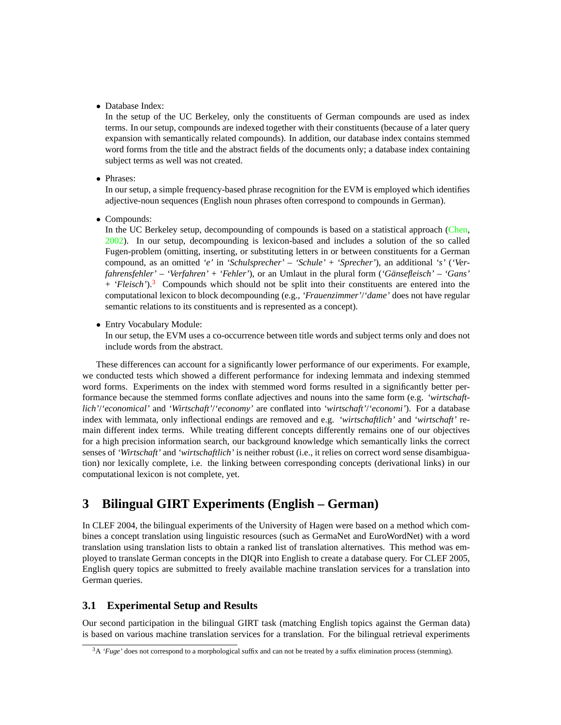• Database Index:

In the setup of the UC Berkeley, only the constituents of German compounds are used as index terms. In our setup, compounds are indexed together with their constituents (because of a later query expansion with semantically related compounds). In addition, our database index contains stemmed word forms from the title and the abstract fields of the documents only; a database index containing subject terms as well was not created.

• Phrases:

In our setup, a simple frequency-based phrase recognition for the EVM is employed which identifies adjective-noun sequences (English noun phrases often correspond to compounds in German).

• Compounds:

In the UC Berkeley setup, decompounding of compounds is based on a statistical approach [\(Chen,](#page-6-7) [2002\)](#page-6-7). In our setup, decompounding is lexicon-based and includes a solution of the so called Fugen-problem (omitting, inserting, or substituting letters in or between constituents for a German compound, as an omitted *'e'* in *'Schulsprecher'* – *'Schule'* + *'Sprecher'*), an additional *'s'* (*'Verfahrensfehler'* – *'Verfahren'* + *'Fehler'*), or an Umlaut in the plural form (*'Gansefleisch' ¨* – *'Gans'* + *'Fleisch'*).[3](#page-4-0) Compounds which should not be split into their constituents are entered into the computational lexicon to block decompounding (e.g., *'Frauenzimmer'*/*'dame'* does not have regular semantic relations to its constituents and is represented as a concept).

• Entry Vocabulary Module:

In our setup, the EVM uses a co-occurrence between title words and subject terms only and does not include words from the abstract.

These differences can account for a significantly lower performance of our experiments. For example, we conducted tests which showed a different performance for indexing lemmata and indexing stemmed word forms. Experiments on the index with stemmed word forms resulted in a significantly better performance because the stemmed forms conflate adjectives and nouns into the same form (e.g. *'wirtschaftlich'*/*'economical'* and *'Wirtschaft'*/*'economy'* are conflated into *'wirtschaft'*/*'economi'*). For a database index with lemmata, only inflectional endings are removed and e.g. *'wirtschaftlich'* and *'wirtschaft'* remain different index terms. While treating different concepts differently remains one of our objectives for a high precision information search, our background knowledge which semantically links the correct senses of *'Wirtschaft'* and *'wirtschaftlich'* is neither robust (i.e., it relies on correct word sense disambiguation) nor lexically complete, i.e. the linking between corresponding concepts (derivational links) in our computational lexicon is not complete, yet.

# **3 Bilingual GIRT Experiments (English – German)**

In CLEF 2004, the bilingual experiments of the University of Hagen were based on a method which combines a concept translation using linguistic resources (such as GermaNet and EuroWordNet) with a word translation using translation lists to obtain a ranked list of translation alternatives. This method was employed to translate German concepts in the DIQR into English to create a database query. For CLEF 2005, English query topics are submitted to freely available machine translation services for a translation into German queries.

### **3.1 Experimental Setup and Results**

Our second participation in the bilingual GIRT task (matching English topics against the German data) is based on various machine translation services for a translation. For the bilingual retrieval experiments

<span id="page-4-0"></span><sup>&</sup>lt;sup>3</sup>A *'Fuge'* does not correspond to a morphological suffix and can not be treated by a suffix elimination process (stemming).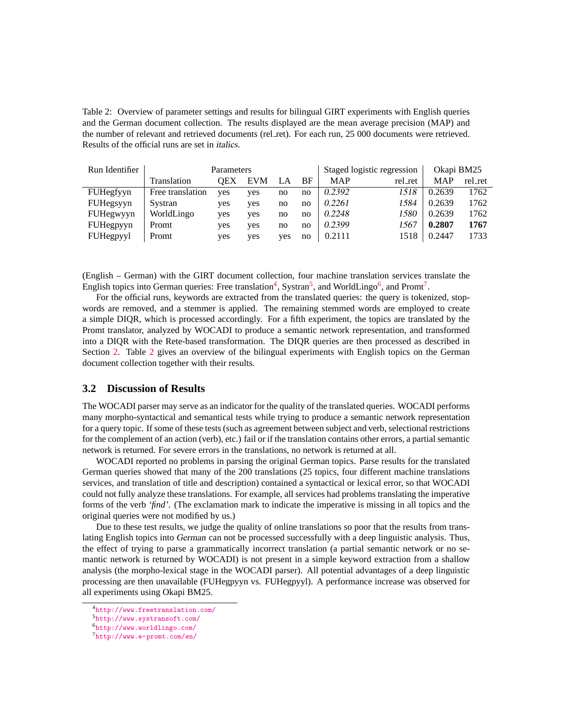<span id="page-5-4"></span>Table 2: Overview of parameter settings and results for bilingual GIRT experiments with English queries and the German document collection. The results displayed are the mean average precision (MAP) and the number of relevant and retrieved documents (rel\_ret). For each run, 25 000 documents were retrieved. Results of the official runs are set in italics.

| Run Identifier   | Parameters       |     |            |     |    | Staged logistic regression |         | Okapi BM25 |         |
|------------------|------------------|-----|------------|-----|----|----------------------------|---------|------------|---------|
|                  | Translation      | OEX | <b>EVM</b> | LA  | BF | <b>MAP</b>                 | rel_ret | <b>MAP</b> | rel_ret |
| FUHegfyyn        | Free translation | ves | ves        | no  | no | 0.2392                     | 1518    | 0.2639     | 1762    |
| FUHegsyyn        | Systran          | yes | ves        | no  | no | 0.2261                     | 1584    | 0.2639     | 1762    |
| <b>FUHegwyyn</b> | WorldLingo       | yes | yes        | no  | no | 0.2248                     | 1580    | 0.2639     | 1762    |
| <b>FUHegpyyn</b> | Promt            | yes | ves        | no  | no | 0.2399                     | 1567    | 0.2807     | 1767    |
| <b>FUHegpyyl</b> | Promt            | yes | yes        | ves | no | 0.2111                     | 1518    | 0.2447     | 1733    |

(English – German) with the GIRT document collection, four machine translation services translate the English topics into German queries: Free translation<sup>[4](#page-5-0)</sup>, Systran<sup>[5](#page-5-1)</sup>, and WorldLingo<sup>[6](#page-5-2)</sup>, and Promt<sup>[7](#page-5-3)</sup>.

For the official runs, keywords are extracted from the translated queries: the query is tokenized, stopwords are removed, and a stemmer is applied. The remaining stemmed words are employed to create a simple DIQR, which is processed accordingly. For a fifth experiment, the topics are translated by the Promt translator, analyzed by WOCADI to produce a semantic network representation, and transformed into a DIQR with the Rete-based transformation. The DIQR queries are then processed as described in Section [2.](#page-3-1) Table [2](#page-5-4) gives an overview of the bilingual experiments with English topics on the German document collection together with their results.

#### **3.2 Discussion of Results**

The WOCADI parser may serve as an indicator for the quality of the translated queries. WOCADI performs many morpho-syntactical and semantical tests while trying to produce a semantic network representation for a query topic. If some of these tests (such as agreement between subject and verb, selectional restrictions for the complement of an action (verb), etc.) fail or if the translation contains other errors, a partial semantic network is returned. For severe errors in the translations, no network is returned at all.

WOCADI reported no problems in parsing the original German topics. Parse results for the translated German queries showed that many of the 200 translations (25 topics, four different machine translations services, and translation of title and description) contained a syntactical or lexical error, so that WOCADI could not fully analyze these translations. For example, all services had problems translating the imperative forms of the verb *'find'*. (The exclamation mark to indicate the imperative is missing in all topics and the original queries were not modified by us.)

Due to these test results, we judge the quality of online translations so poor that the results from translating English topics into German can not be processed successfully with a deep linguistic analysis. Thus, the effect of trying to parse a grammatically incorrect translation (a partial semantic network or no semantic network is returned by WOCADI) is not present in a simple keyword extraction from a shallow analysis (the morpho-lexical stage in the WOCADI parser). All potential advantages of a deep linguistic processing are then unavailable (FUHegpyyn vs. FUHegpyyl). A performance increase was observed for all experiments using Okapi BM25.

<span id="page-5-0"></span><sup>4</sup><http://www.freetranslation.com/>

<span id="page-5-1"></span><sup>5</sup><http://www.systransoft.com/>

<span id="page-5-2"></span><sup>6</sup><http://www.worldlingo.com/>

<span id="page-5-3"></span><sup>7</sup><http://www.e-promt.com/en/>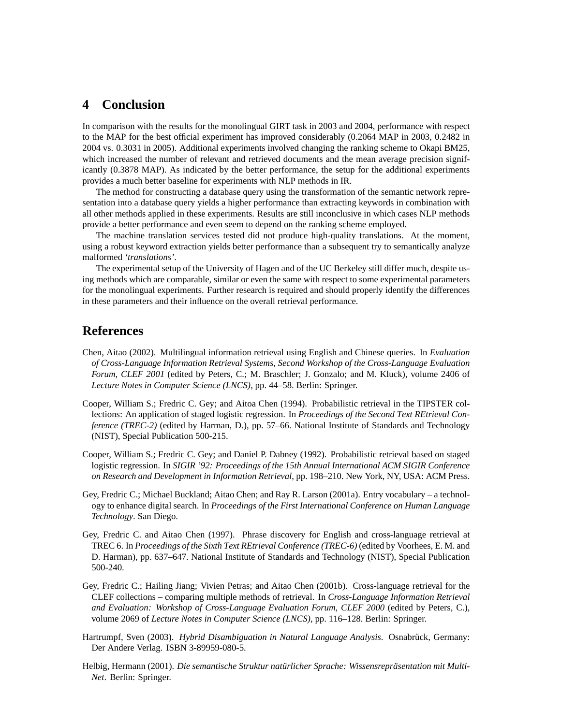## **4 Conclusion**

In comparison with the results for the monolingual GIRT task in 2003 and 2004, performance with respect to the MAP for the best official experiment has improved considerably (0.2064 MAP in 2003, 0.2482 in 2004 vs. 0.3031 in 2005). Additional experiments involved changing the ranking scheme to Okapi BM25, which increased the number of relevant and retrieved documents and the mean average precision significantly (0.3878 MAP). As indicated by the better performance, the setup for the additional experiments provides a much better baseline for experiments with NLP methods in IR.

The method for constructing a database query using the transformation of the semantic network representation into a database query yields a higher performance than extracting keywords in combination with all other methods applied in these experiments. Results are still inconclusive in which cases NLP methods provide a better performance and even seem to depend on the ranking scheme employed.

The machine translation services tested did not produce high-quality translations. At the moment, using a robust keyword extraction yields better performance than a subsequent try to semantically analyze malformed *'translations'*.

The experimental setup of the University of Hagen and of the UC Berkeley still differ much, despite using methods which are comparable, similar or even the same with respect to some experimental parameters for the monolingual experiments. Further research is required and should properly identify the differences in these parameters and their influence on the overall retrieval performance.

# **References**

- <span id="page-6-7"></span>Chen, Aitao (2002). Multilingual information retrieval using English and Chinese queries. In *Evaluation of Cross-Language Information Retrieval Systems, Second Workshop of the Cross-Language Evaluation Forum, CLEF 2001* (edited by Peters, C.; M. Braschler; J. Gonzalo; and M. Kluck), volume 2406 of *Lecture Notes in Computer Science (LNCS)*, pp. 44–58. Berlin: Springer.
- <span id="page-6-4"></span>Cooper, William S.; Fredric C. Gey; and Aitoa Chen (1994). Probabilistic retrieval in the TIPSTER collections: An application of staged logistic regression. In *Proceedings of the Second Text REtrieval Conference (TREC-2)* (edited by Harman, D.), pp. 57–66. National Institute of Standards and Technology (NIST), Special Publication 500-215.
- <span id="page-6-3"></span>Cooper, William S.; Fredric C. Gey; and Daniel P. Dabney (1992). Probabilistic retrieval based on staged logistic regression. In *SIGIR '92: Proceedings of the 15th Annual International ACM SIGIR Conference on Research and Development in Information Retrieval*, pp. 198–210. New York, NY, USA: ACM Press.
- <span id="page-6-2"></span>Gey, Fredric C.; Michael Buckland; Aitao Chen; and Ray R. Larson (2001a). Entry vocabulary – a technology to enhance digital search. In *Proceedings of the First International Conference on Human Language Technology*. San Diego.
- <span id="page-6-0"></span>Gey, Fredric C. and Aitao Chen (1997). Phrase discovery for English and cross-language retrieval at TREC 6. In *Proceedings of the Sixth Text REtrieval Conference (TREC-6)* (edited by Voorhees, E. M. and D. Harman), pp. 637–647. National Institute of Standards and Technology (NIST), Special Publication 500-240.
- <span id="page-6-1"></span>Gey, Fredric C.; Hailing Jiang; Vivien Petras; and Aitao Chen (2001b). Cross-language retrieval for the CLEF collections – comparing multiple methods of retrieval. In *Cross-Language Information Retrieval and Evaluation: Workshop of Cross-Language Evaluation Forum, CLEF 2000* (edited by Peters, C.), volume 2069 of *Lecture Notes in Computer Science (LNCS)*, pp. 116–128. Berlin: Springer.
- <span id="page-6-5"></span>Hartrumpf, Sven (2003). *Hybrid Disambiguation in Natural Language Analysis*. Osnabrück, Germany: Der Andere Verlag. ISBN 3-89959-080-5.
- <span id="page-6-6"></span>Helbig, Hermann (2001). *Die semantische Struktur naturlicher Sprache: Wissensrepr ¨ asentation mit Multi- ¨ Net*. Berlin: Springer.